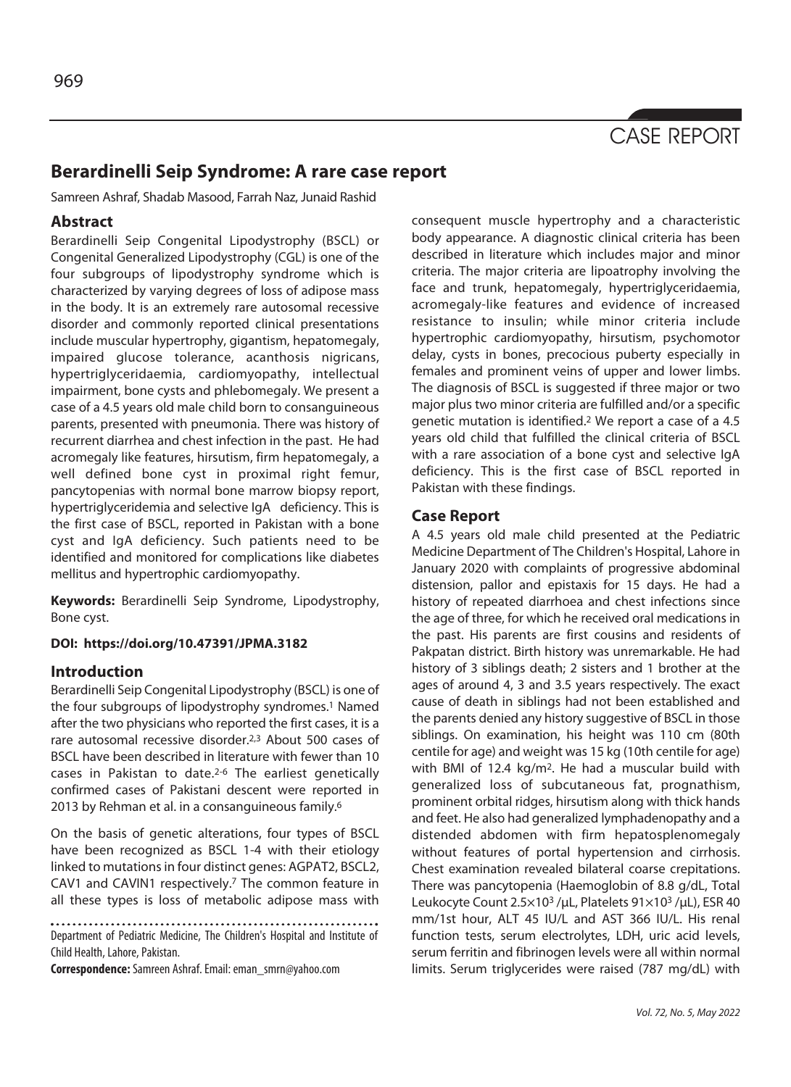

# **Berardinelli Seip Syndrome: A rare case report**

Samreen Ashraf, Shadab Masood, Farrah Naz, Junaid Rashid

## **Abstract**

Berardinelli Seip Congenital Lipodystrophy (BSCL) or Congenital Generalized Lipodystrophy (CGL) is one of the four subgroups of lipodystrophy syndrome which is characterized by varying degrees of loss of adipose mass in the body. It is an extremely rare autosomal recessive disorder and commonly reported clinical presentations include muscular hypertrophy, gigantism, hepatomegaly, impaired glucose tolerance, acanthosis nigricans, hypertriglyceridaemia, cardiomyopathy, intellectual impairment, bone cysts and phlebomegaly. We present a case of a 4.5 years old male child born to consanguineous parents, presented with pneumonia. There was history of recurrent diarrhea and chest infection in the past. He had acromegaly like features, hirsutism, firm hepatomegaly, a well defined bone cyst in proximal right femur, pancytopenias with normal bone marrow biopsy report, hypertriglyceridemia and selective IgA deficiency. This is the first case of BSCL, reported in Pakistan with a bone cyst and IgA deficiency. Such patients need to be identified and monitored for complications like diabetes mellitus and hypertrophic cardiomyopathy.

**Keywords:** Berardinelli Seip Syndrome, Lipodystrophy, Bone cyst.

### **DOI: https://doi.org/10.47391/JPMA.3182**

### **Introduction**

Berardinelli Seip Congenital Lipodystrophy (BSCL) is one of the four subgroups of lipodystrophy syndromes.<sup>1</sup> Named after the two physicians who reported the first cases, it is a rare autosomal recessive disorder.2,3 About 500 cases of BSCL have been described in literature with fewer than 10 cases in Pakistan to date.2-6 The earliest genetically confirmed cases of Pakistani descent were reported in 2013 by Rehman et al. in a consanguineous family.<sup>6</sup>

On the basis of genetic alterations, four types of BSCL have been recognized as BSCL 1-4 with their etiology linked to mutations in four distinct genes: AGPAT2, BSCL2, CAV1 and CAVIN1 respectively.7 The common feature in all these types is loss of metabolic adipose mass with

Department of Pediatric Medicine, The Children's Hospital and Institute of Child Health, Lahore, Pakistan.

**Correspondence:** Samreen Ashraf. Email: eman\_smrn@yahoo.com

consequent muscle hypertrophy and a characteristic body appearance. A diagnostic clinical criteria has been described in literature which includes major and minor criteria. The major criteria are lipoatrophy involving the face and trunk, hepatomegaly, hypertriglyceridaemia, acromegaly-like features and evidence of increased resistance to insulin; while minor criteria include hypertrophic cardiomyopathy, hirsutism, psychomotor delay, cysts in bones, precocious puberty especially in females and prominent veins of upper and lower limbs. The diagnosis of BSCL is suggested if three major or two major plus two minor criteria are fulfilled and/or a specific genetic mutation is identified.2 We report a case of a 4.5 years old child that fulfilled the clinical criteria of BSCL with a rare association of a bone cyst and selective IgA deficiency. This is the first case of BSCL reported in Pakistan with these findings.

# **Case Report**

A 4.5 years old male child presented at the Pediatric Medicine Department of The Children's Hospital, Lahore in January 2020 with complaints of progressive abdominal distension, pallor and epistaxis for 15 days. He had a history of repeated diarrhoea and chest infections since the age of three, for which he received oral medications in the past. His parents are first cousins and residents of Pakpatan district. Birth history was unremarkable. He had history of 3 siblings death; 2 sisters and 1 brother at the ages of around 4, 3 and 3.5 years respectively. The exact cause of death in siblings had not been established and the parents denied any history suggestive of BSCL in those siblings. On examination, his height was 110 cm (80th centile for age) and weight was 15 kg (10th centile for age) with BMI of 12.4 kg/m2. He had a muscular build with generalized loss of subcutaneous fat, prognathism, prominent orbital ridges, hirsutism along with thick hands and feet. He also had generalized lymphadenopathy and a distended abdomen with firm hepatosplenomegaly without features of portal hypertension and cirrhosis. Chest examination revealed bilateral coarse crepitations. There was pancytopenia (Haemoglobin of 8.8 g/dL, Total Leukocyte Count 2.5×103 /μL, Platelets 91×103 /μL), ESR 40 mm/1st hour, ALT 45 IU/L and AST 366 IU/L. His renal function tests, serum electrolytes, LDH, uric acid levels, serum ferritin and fibrinogen levels were all within normal limits. Serum triglycerides were raised (787 mg/dL) with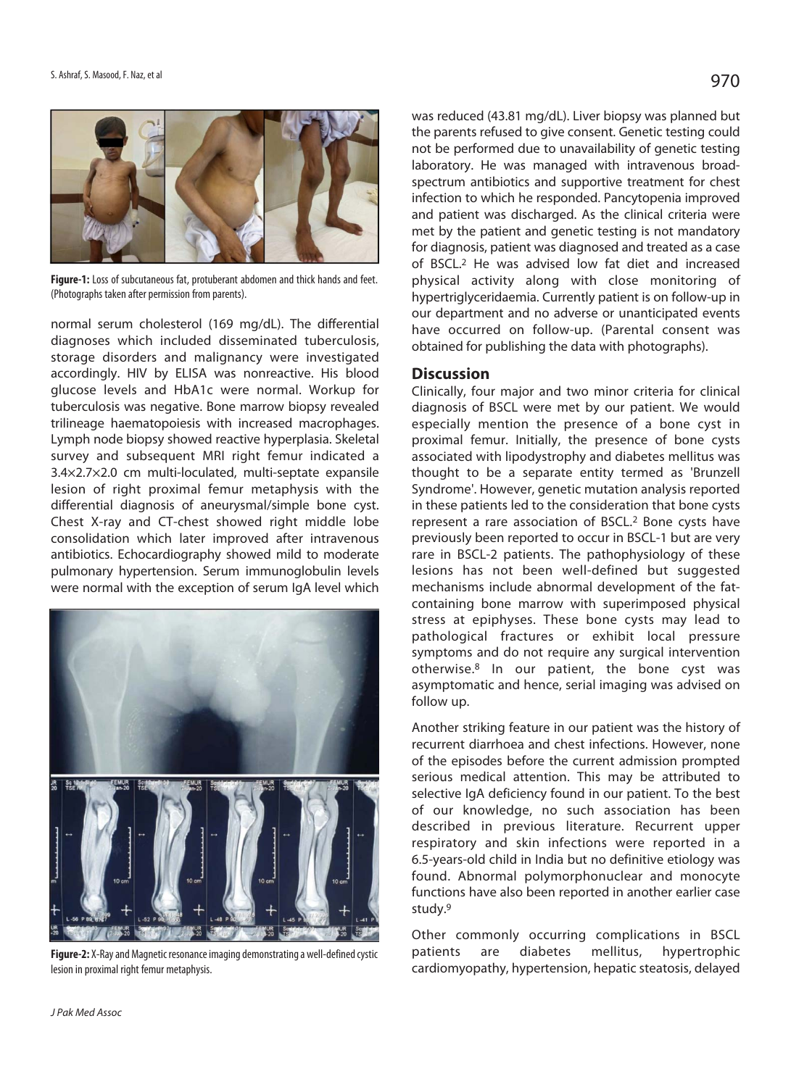

**Figure-1:** Loss of subcutaneous fat, protuberant abdomen and thick hands and feet. (Photographs taken after permission from parents).

normal serum cholesterol (169 mg/dL). The differential diagnoses which included disseminated tuberculosis, storage disorders and malignancy were investigated accordingly. HIV by ELISA was nonreactive. His blood glucose levels and HbA1c were normal. Workup for tuberculosis was negative. Bone marrow biopsy revealed trilineage haematopoiesis with increased macrophages. Lymph node biopsy showed reactive hyperplasia. Skeletal survey and subsequent MRI right femur indicated a 3.4×2.7×2.0 cm multi-loculated, multi-septate expansile lesion of right proximal femur metaphysis with the differential diagnosis of aneurysmal/simple bone cyst. Chest X-ray and CT-chest showed right middle lobe consolidation which later improved after intravenous antibiotics. Echocardiography showed mild to moderate pulmonary hypertension. Serum immunoglobulin levels were normal with the exception of serum IgA level which



**Figure-2:** X-Ray and Magnetic resonance imaging demonstrating a well-defined cystic lesion in proximal right femur metaphysis.

was reduced (43.81 mg/dL). Liver biopsy was planned but the parents refused to give consent. Genetic testing could not be performed due to unavailability of genetic testing laboratory. He was managed with intravenous broadspectrum antibiotics and supportive treatment for chest infection to which he responded. Pancytopenia improved and patient was discharged. As the clinical criteria were met by the patient and genetic testing is not mandatory for diagnosis, patient was diagnosed and treated as a case of BSCL.2 He was advised low fat diet and increased physical activity along with close monitoring of hypertriglyceridaemia. Currently patient is on follow-up in our department and no adverse or unanticipated events have occurred on follow-up. (Parental consent was obtained for publishing the data with photographs).

#### **Discussion**

Clinically, four major and two minor criteria for clinical diagnosis of BSCL were met by our patient. We would especially mention the presence of a bone cyst in proximal femur. Initially, the presence of bone cysts associated with lipodystrophy and diabetes mellitus was thought to be a separate entity termed as 'Brunzell Syndrome'. However, genetic mutation analysis reported in these patients led to the consideration that bone cysts represent a rare association of BSCL.2 Bone cysts have previously been reported to occur in BSCL-1 but are very rare in BSCL-2 patients. The pathophysiology of these lesions has not been well-defined but suggested mechanisms include abnormal development of the fatcontaining bone marrow with superimposed physical stress at epiphyses. These bone cysts may lead to pathological fractures or exhibit local pressure symptoms and do not require any surgical intervention otherwise.8 In our patient, the bone cyst was asymptomatic and hence, serial imaging was advised on follow up.

Another striking feature in our patient was the history of recurrent diarrhoea and chest infections. However, none of the episodes before the current admission prompted serious medical attention. This may be attributed to selective IgA deficiency found in our patient. To the best of our knowledge, no such association has been described in previous literature. Recurrent upper respiratory and skin infections were reported in a 6.5-years-old child in India but no definitive etiology was found. Abnormal polymorphonuclear and monocyte functions have also been reported in another earlier case study.9

Other commonly occurring complications in BSCL patients are diabetes mellitus, hypertrophic cardiomyopathy, hypertension, hepatic steatosis, delayed